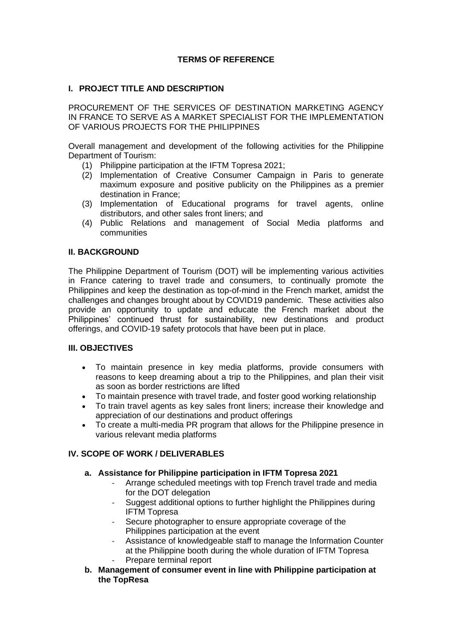# **TERMS OF REFERENCE**

# **I. PROJECT TITLE AND DESCRIPTION**

PROCUREMENT OF THE SERVICES OF DESTINATION MARKETING AGENCY IN FRANCE TO SERVE AS A MARKET SPECIALIST FOR THE IMPLEMENTATION OF VARIOUS PROJECTS FOR THE PHILIPPINES

Overall management and development of the following activities for the Philippine Department of Tourism:

- (1) Philippine participation at the IFTM Topresa 2021;
- (2) Implementation of Creative Consumer Campaign in Paris to generate maximum exposure and positive publicity on the Philippines as a premier destination in France;
- (3) Implementation of Educational programs for travel agents, online distributors, and other sales front liners; and
- (4) Public Relations and management of Social Media platforms and communities

## **II. BACKGROUND**

The Philippine Department of Tourism (DOT) will be implementing various activities in France catering to travel trade and consumers, to continually promote the Philippines and keep the destination as top-of-mind in the French market, amidst the challenges and changes brought about by COVID19 pandemic. These activities also provide an opportunity to update and educate the French market about the Philippines' continued thrust for sustainability, new destinations and product offerings, and COVID-19 safety protocols that have been put in place.

## **III. OBJECTIVES**

- To maintain presence in key media platforms, provide consumers with reasons to keep dreaming about a trip to the Philippines, and plan their visit as soon as border restrictions are lifted
- To maintain presence with travel trade, and foster good working relationship
- To train travel agents as key sales front liners; increase their knowledge and appreciation of our destinations and product offerings
- To create a multi-media PR program that allows for the Philippine presence in various relevant media platforms

# **IV. SCOPE OF WORK / DELIVERABLES**

## **a. Assistance for Philippine participation in IFTM Topresa 2021**

- Arrange scheduled meetings with top French travel trade and media for the DOT delegation
- Suggest additional options to further highlight the Philippines during IFTM Topresa
- Secure photographer to ensure appropriate coverage of the Philippines participation at the event
- Assistance of knowledgeable staff to manage the Information Counter at the Philippine booth during the whole duration of IFTM Topresa Prepare terminal report
- **b. Management of consumer event in line with Philippine participation at the TopResa**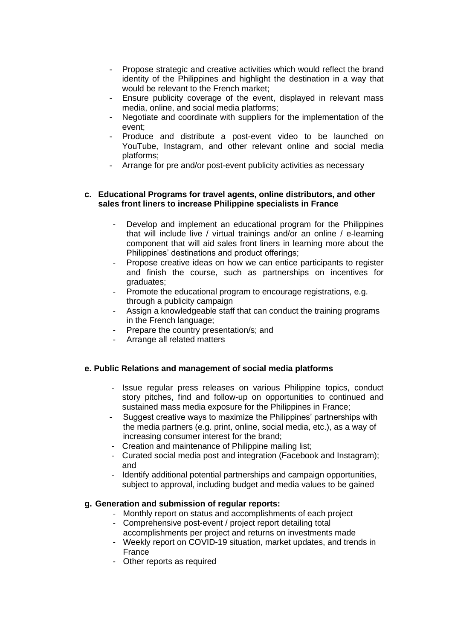- Propose strategic and creative activities which would reflect the brand identity of the Philippines and highlight the destination in a way that would be relevant to the French market;
- Ensure publicity coverage of the event, displayed in relevant mass media, online, and social media platforms;
- Negotiate and coordinate with suppliers for the implementation of the event;
- Produce and distribute a post-event video to be launched on YouTube, Instagram, and other relevant online and social media platforms;
- Arrange for pre and/or post-event publicity activities as necessary

#### **c. Educational Programs for travel agents, online distributors, and other sales front liners to increase Philippine specialists in France**

- Develop and implement an educational program for the Philippines that will include live / virtual trainings and/or an online / e-learning component that will aid sales front liners in learning more about the Philippines' destinations and product offerings;
- Propose creative ideas on how we can entice participants to register and finish the course, such as partnerships on incentives for graduates;
- Promote the educational program to encourage registrations, e.g. through a publicity campaign
- Assign a knowledgeable staff that can conduct the training programs in the French language;
- Prepare the country presentation/s; and
- Arrange all related matters

#### **e. Public Relations and management of social media platforms**

- Issue regular press releases on various Philippine topics, conduct story pitches, find and follow-up on opportunities to continued and sustained mass media exposure for the Philippines in France;
- Suggest creative ways to maximize the Philippines' partnerships with the media partners (e.g. print, online, social media, etc.), as a way of increasing consumer interest for the brand;
- Creation and maintenance of Philippine mailing list;
- Curated social media post and integration (Facebook and Instagram); and
- Identify additional potential partnerships and campaign opportunities, subject to approval, including budget and media values to be gained

#### **g. Generation and submission of regular reports:**

- Monthly report on status and accomplishments of each project
- Comprehensive post-event / project report detailing total accomplishments per project and returns on investments made
- Weekly report on COVID-19 situation, market updates, and trends in France
- Other reports as required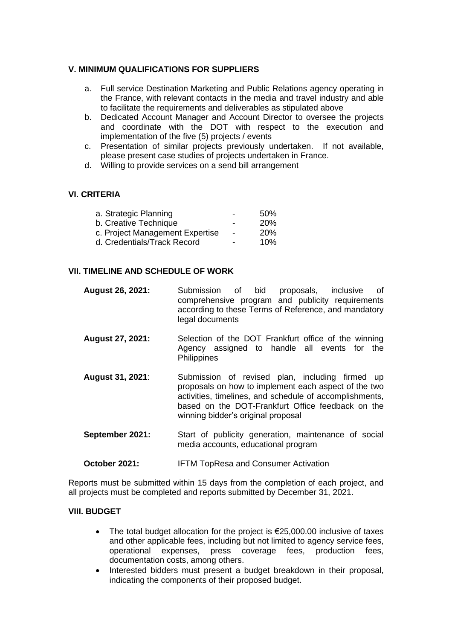# **V. MINIMUM QUALIFICATIONS FOR SUPPLIERS**

- a. Full service Destination Marketing and Public Relations agency operating in the France, with relevant contacts in the media and travel industry and able to facilitate the requirements and deliverables as stipulated above
- b. Dedicated Account Manager and Account Director to oversee the projects and coordinate with the DOT with respect to the execution and implementation of the five (5) projects / events
- c. Presentation of similar projects previously undertaken. If not available, please present case studies of projects undertaken in France.
- d. Willing to provide services on a send bill arrangement

## **VI. CRITERIA**

| a. Strategic Planning           | - | 50%        |
|---------------------------------|---|------------|
| b. Creative Technique           | - | <b>20%</b> |
| c. Project Management Expertise |   | <b>20%</b> |
| d. Credentials/Track Record     |   | 10%        |

## **VII. TIMELINE AND SCHEDULE OF WORK**

- **August 26, 2021:** Submission of bid proposals, inclusive of comprehensive program and publicity requirements according to these Terms of Reference, and mandatory legal documents
- **August 27, 2021:** Selection of the DOT Frankfurt office of the winning Agency assigned to handle all events for the **Philippines**
- **August 31, 2021**: Submission of revised plan, including firmed up proposals on how to implement each aspect of the two activities, timelines, and schedule of accomplishments, based on the DOT-Frankfurt Office feedback on the winning bidder's original proposal
- **September 2021:** Start of publicity generation, maintenance of social media accounts, educational program
- **October 2021:** IFTM TopResa and Consumer Activation

Reports must be submitted within 15 days from the completion of each project, and all projects must be completed and reports submitted by December 31, 2021.

## **VIII. BUDGET**

- The total budget allocation for the project is  $£25,000.00$  inclusive of taxes and other applicable fees, including but not limited to agency service fees, operational expenses, press coverage fees, production fees, documentation costs, among others.
- Interested bidders must present a budget breakdown in their proposal, indicating the components of their proposed budget.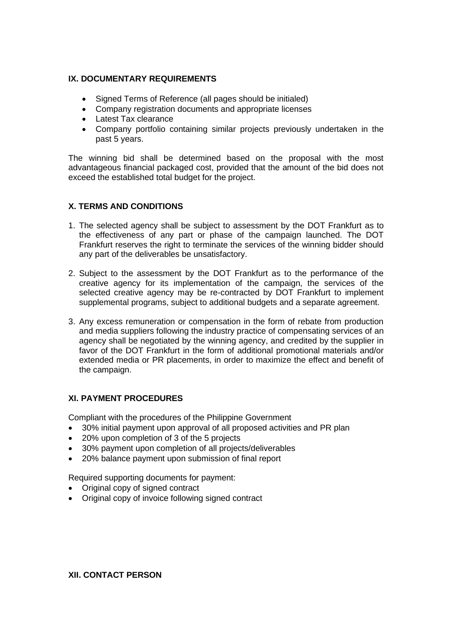# **IX. DOCUMENTARY REQUIREMENTS**

- Signed Terms of Reference (all pages should be initialed)
- Company registration documents and appropriate licenses
- Latest Tax clearance
- Company portfolio containing similar projects previously undertaken in the past 5 years.

The winning bid shall be determined based on the proposal with the most advantageous financial packaged cost, provided that the amount of the bid does not exceed the established total budget for the project.

# **X. TERMS AND CONDITIONS**

- 1. The selected agency shall be subject to assessment by the DOT Frankfurt as to the effectiveness of any part or phase of the campaign launched. The DOT Frankfurt reserves the right to terminate the services of the winning bidder should any part of the deliverables be unsatisfactory.
- 2. Subject to the assessment by the DOT Frankfurt as to the performance of the creative agency for its implementation of the campaign, the services of the selected creative agency may be re-contracted by DOT Frankfurt to implement supplemental programs, subject to additional budgets and a separate agreement.
- 3. Any excess remuneration or compensation in the form of rebate from production and media suppliers following the industry practice of compensating services of an agency shall be negotiated by the winning agency, and credited by the supplier in favor of the DOT Frankfurt in the form of additional promotional materials and/or extended media or PR placements, in order to maximize the effect and benefit of the campaign.

# **XI. PAYMENT PROCEDURES**

Compliant with the procedures of the Philippine Government

- 30% initial payment upon approval of all proposed activities and PR plan
- 20% upon completion of 3 of the 5 projects
- 30% payment upon completion of all projects/deliverables
- 20% balance payment upon submission of final report

Required supporting documents for payment:

- Original copy of signed contract
- Original copy of invoice following signed contract

#### **XII. CONTACT PERSON**